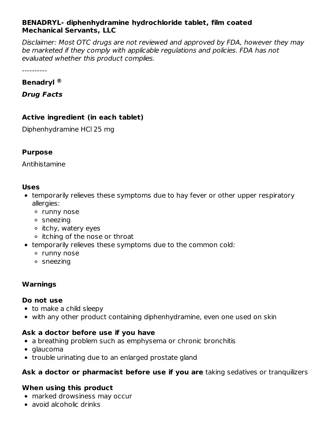#### **BENADRYL- diphenhydramine hydrochloride tablet, film coated Mechanical Servants, LLC**

Disclaimer: Most OTC drugs are not reviewed and approved by FDA, however they may be marketed if they comply with applicable regulations and policies. FDA has not evaluated whether this product complies.

----------

#### **Benadryl ®**

**Drug Facts**

# **Active ingredient (in each tablet)**

Diphenhydramine HCl 25 mg

#### **Purpose**

Antihistamine

#### **Uses**

- temporarily relieves these symptoms due to hay fever or other upper respiratory allergies:
	- o runny nose
	- sneezing
	- $\circ$  itchy, watery eyes
	- itching of the nose or throat
- temporarily relieves these symptoms due to the common cold:
	- runny nose
	- sneezing

# **Warnings**

#### **Do not use**

- to make a child sleepy
- with any other product containing diphenhydramine, even one used on skin

# **Ask a doctor before use if you have**

- a breathing problem such as emphysema or chronic bronchitis
- glaucoma
- trouble urinating due to an enlarged prostate gland

# **Ask a doctor or pharmacist before use if you are** taking sedatives or tranquilizers

# **When using this product**

- marked drowsiness may occur
- avoid alcoholic drinks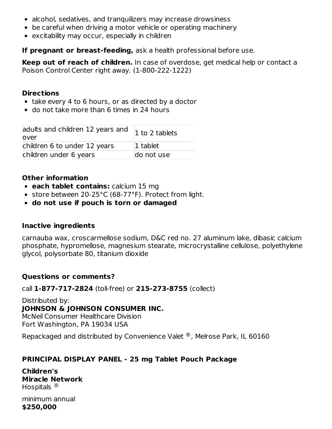- alcohol, sedatives, and tranquilizers may increase drowsiness
- be careful when driving a motor vehicle or operating machinery
- excitability may occur, especially in children

**If pregnant or breast-feeding,** ask a health professional before use.

**Keep out of reach of children.** In case of overdose, get medical help or contact a Poison Control Center right away. (1-800-222-1222)

#### **Directions**

- take every 4 to 6 hours, or as directed by a doctor
- do not take more than 6 times in 24 hours

| adults and children 12 years and<br>over | 1 to 2 tablets |
|------------------------------------------|----------------|
| children 6 to under 12 years             | 1 tablet       |
| children under 6 years                   | do not use     |

### **Other information**

- **each tablet contains:** calcium 15 mg
- store between 20-25°C (68-77°F). Protect from light.
- **do not use if pouch is torn or damaged**

#### **Inactive ingredients**

carnauba wax, croscarmellose sodium, D&C red no. 27 aluminum lake, dibasic calcium phosphate, hypromellose, magnesium stearate, microcrystalline cellulose, polyethylene glycol, polysorbate 80, titanium dioxide

#### **Questions or comments?**

call **1-877-717-2824** (toll-free) or **215-273-8755** (collect)

Distributed by: **JOHNSON & JOHNSON CONSUMER INC.** McNeil Consumer Healthcare Division Fort Washington, PA 19034 USA

Repackaged and distributed by Convenience Valet  $^\circledR$ , Melrose Park, IL 60160

# **PRINCIPAL DISPLAY PANEL - 25 mg Tablet Pouch Package**

**Children's Miracle Network** Hospitals  $^{\circledR}$ 

minimum annual **\$250,000**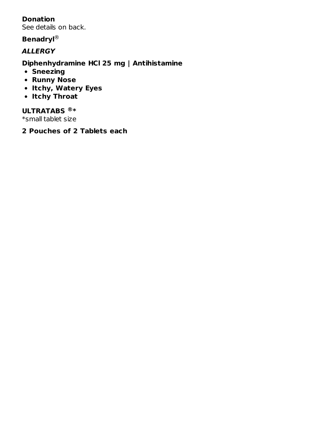# **Donation**

See details on back.

#### **Benadryl** ®

#### **ALLERGY**

#### **Diphenhydramine HCl 25 mg | Antihistamine**

- **Sneezing**
- **Runny Nose**
- **Itchy, Watery Eyes**
- **Itchy Throat**

#### **ULTRATABS \* ®**

\*small tablet size

**2 Pouches of 2 Tablets each**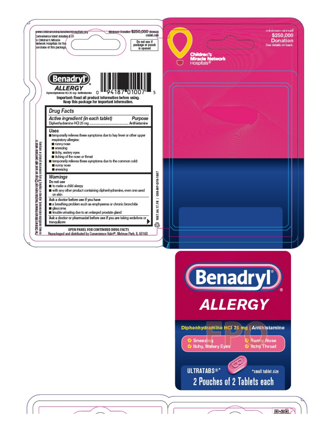| <b>Minimum Donation \$250,000 (Annual)</b><br>www.childrensmiractenetworkhospitals.org<br>cvalet.com<br>Convenience Valet donates \$.01<br>o Children's Miracle<br>Do not use if<br><b>Vetwork Hospitals for the</b><br>package or pouch<br>purchase of this package,<br>is opened                                                                                                                                                                                                                                                                                                                                                                                                                                                                                                                                                                                                                                                                                                                                                                                                                                                                                                                                                                                                                                                              | <b>Counter and minimum</b><br>\$250,000<br><b>Donation</b><br>See details on back.<br><b>Children's<br/>Miracle Network</b><br>Hospitals®                                                                                                       |
|-------------------------------------------------------------------------------------------------------------------------------------------------------------------------------------------------------------------------------------------------------------------------------------------------------------------------------------------------------------------------------------------------------------------------------------------------------------------------------------------------------------------------------------------------------------------------------------------------------------------------------------------------------------------------------------------------------------------------------------------------------------------------------------------------------------------------------------------------------------------------------------------------------------------------------------------------------------------------------------------------------------------------------------------------------------------------------------------------------------------------------------------------------------------------------------------------------------------------------------------------------------------------------------------------------------------------------------------------|-------------------------------------------------------------------------------------------------------------------------------------------------------------------------------------------------------------------------------------------------|
| <b>Benadry</b><br>ALLERG)<br>94187<br>5<br>0<br>'010<br>Diphenhydramine HCI 25 mg I Antihistamine<br>Important: Read all product information before using.<br>Keep this package for important information.<br><b>Drug Facts</b><br>Active ingredient (in each tablet)<br>Purpose<br>Uses<br>temporarily relieves these symptoms due to hay fever or other upper<br>respiratory allergies:<br>The Chitchen's Mircade Matwork Haspitals marne and <mark>C</mark> Diogo are used with parmission which in<br>no way constitutes endorsement, express or implied, of any commercial product or company.<br>nunny nose<br>sneezing<br>tchy, watery eyes<br>tching of the nose or throat<br>temporarily relieves these symptoms due to the common cold:<br>nunny nose<br>sneezing<br>C6B-MP-DFB-1007<br>Wamings<br>Do not use<br>to make a child sleepy<br>with any other product containing diphenhydramine, even one used<br>on skin<br>∽<br>Ask a doctor before use if you have<br>1007.04.17.FB<br>a breathing problem such as emphysema or chronic bronchitis<br>glaucoma<br>trouble unnating due to an enlarged prostate gland<br>Ask a doctor or pharmacist before use if you are taking sedatives or<br>tranquilizers<br>♧<br>OPEN PANEL FOR CONTINUED DRUG FACTS<br>Repackaged and distributed by Convenience Valet®, Melrose Park, IL 60160 |                                                                                                                                                                                                                                                 |
|                                                                                                                                                                                                                                                                                                                                                                                                                                                                                                                                                                                                                                                                                                                                                                                                                                                                                                                                                                                                                                                                                                                                                                                                                                                                                                                                                 | <b>Benadryl'</b><br><b>ALLERGY</b><br>Diphenhydramine HCI 25 mg   Antihistamine<br><b>Runny Nose</b><br>Sneezing<br><b>Itchy, Watery Eyes</b><br><b>Itchy Throat</b><br><b>ULTRATABS®*</b><br>*small tablet size<br>2 Pouches of 2 Tablets each |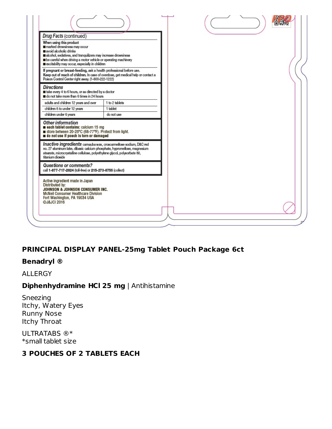| Drug Facts (continued)<br>When using this product<br>marked drowsiness may occur<br>avoid alcoholic drinks<br>alcohol, sedatives, and tranquilizers may increase drowsiness<br>be careful when driving a motor vehicle or operating machinery                     |                |  |
|-------------------------------------------------------------------------------------------------------------------------------------------------------------------------------------------------------------------------------------------------------------------|----------------|--|
| excitability may occur, especially in children<br>If pregnant or breast-feeding, ask a health professional before use.<br>Keep out of reach of children. In case of overdose, get medical help or contact a<br>Poison Control Center right away. (1-800-222-1222) |                |  |
| <b>Directions</b><br>take every 4 to 6 hours, or as directed by a doctor<br>do not take more than 6 times in 24 hours                                                                                                                                             |                |  |
| adults and children 12 years and over                                                                                                                                                                                                                             | 1 to 2 tablets |  |
| children 6 to under 12 years                                                                                                                                                                                                                                      | 1 tablet       |  |
| children under 6 years                                                                                                                                                                                                                                            | do not use     |  |
| Other information<br>each tablet contains: calcium 15 mg<br>store between 20-25°C (68-77°F). Protect from light.<br>do not use if pouch is torn or damaged                                                                                                        |                |  |
| Inactive ingredients camauba wax, croscarmelose sodium, D&C red<br>no. 27 aluminum lake, dibasic calcium phosphate, hypromellose, magnesium<br>stearate, microcrystalline cellulose, polyethylene glycol, polysorbate 80,<br>titanium dioxide                     |                |  |
| Questions or comments?<br>call 1-877-717-2824 (toll-free) or 215-273-8755 (collect)                                                                                                                                                                               |                |  |
| Active ingredient made in Japan<br>Distributed by:<br>JOHNSON & JOHNSON CONSUMER INC.<br>McNeil Consumer Healthcare Division<br>Fort Washington, PA 19034 USA<br>@J&JCI 2016                                                                                      |                |  |

# **PRINCIPAL DISPLAY PANEL-25mg Tablet Pouch Package 6ct**

#### **Benadryl ®**

ALLERGY

# **Diphenhydramine HCl 25 mg** | Antihistamine

Sneezing Itchy, Watery Eyes Runny Nose Itchy Throat

ULTRATABS ®\* \*small tablet size

### **3 POUCHES OF 2 TABLETS EACH**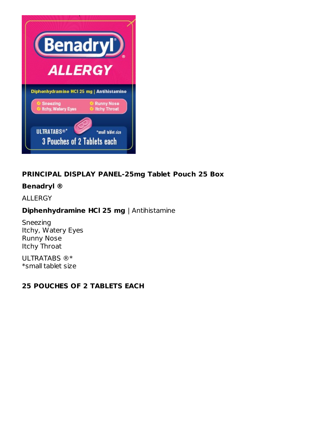

# **PRINCIPAL DISPLAY PANEL-25mg Tablet Pouch 25 Box**

#### **Benadryl ®**

ALLERGY

#### **Diphenhydramine HCl 25 mg** | Antihistamine

Sneezing Itchy, Watery Eyes Runny Nose Itchy Throat

ULTRATABS ®\* \*small tablet size

#### **25 POUCHES OF 2 TABLETS EACH**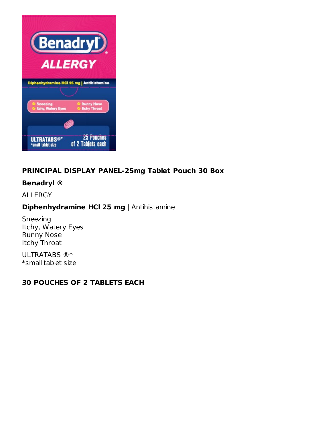

# **PRINCIPAL DISPLAY PANEL-25mg Tablet Pouch 30 Box**

# **Benadryl ®**

ALLERGY

# **Diphenhydramine HCl 25 mg** | Antihistamine

Sneezing Itchy, Watery Eyes Runny Nose Itchy Throat

ULTRATABS ®\* \*small tablet size

#### **30 POUCHES OF 2 TABLETS EACH**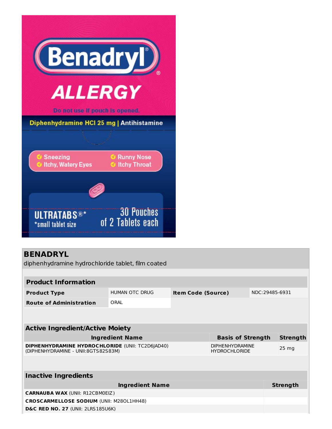

# **BENADRYL**

diphenhydramine hydrochloride tablet, film coated

| <b>Product Information</b>                                                                     |                        |                           |                                                |                |                 |  |  |  |
|------------------------------------------------------------------------------------------------|------------------------|---------------------------|------------------------------------------------|----------------|-----------------|--|--|--|
| <b>Product Type</b>                                                                            | HUMAN OTC DRUG         | <b>Item Code (Source)</b> |                                                | NDC:29485-6931 |                 |  |  |  |
| <b>Route of Administration</b>                                                                 | ORAL                   |                           |                                                |                |                 |  |  |  |
|                                                                                                |                        |                           |                                                |                |                 |  |  |  |
| <b>Active Ingredient/Active Moiety</b>                                                         |                        |                           |                                                |                |                 |  |  |  |
|                                                                                                |                        |                           |                                                |                |                 |  |  |  |
|                                                                                                | <b>Ingredient Name</b> |                           | <b>Basis of Strength</b>                       |                | <b>Strength</b> |  |  |  |
| <b>DIPHENHYDRAMINE HYDROCHLORIDE (UNII: TC2D6JAD40)</b><br>(DIPHENHYDRAMINE - UNII:8GTS82S83M) |                        |                           | <b>DIPHENHYDRAMINE</b><br><b>HYDROCHLORIDE</b> |                | 25 mg           |  |  |  |
|                                                                                                |                        |                           |                                                |                |                 |  |  |  |
|                                                                                                |                        |                           |                                                |                |                 |  |  |  |
| <b>Inactive Ingredients</b>                                                                    |                        |                           |                                                |                |                 |  |  |  |
|                                                                                                | <b>Ingredient Name</b> |                           |                                                |                | <b>Strength</b> |  |  |  |
| <b>CARNAUBA WAX (UNII: R12CBM0EIZ)</b>                                                         |                        |                           |                                                |                |                 |  |  |  |
| <b>CROSCARMELLOSE SODIUM (UNII: M280L1HH48)</b>                                                |                        |                           |                                                |                |                 |  |  |  |
| <b>D&amp;C RED NO. 27 (UNII: 2LRS185U6K)</b>                                                   |                        |                           |                                                |                |                 |  |  |  |
|                                                                                                |                        |                           |                                                |                |                 |  |  |  |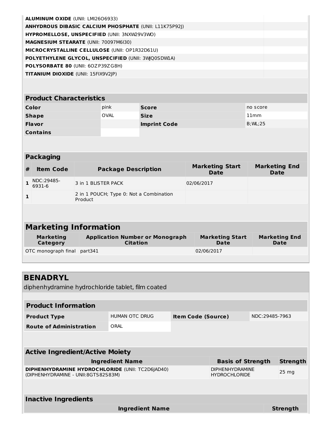| <b>ALUMINUM OXIDE (UNII: LMI2606933)</b>                      |  |
|---------------------------------------------------------------|--|
| <b>ANHYDROUS DIBASIC CALCIUM PHOSPHATE (UNII: L11K75P92I)</b> |  |
| HYPROMELLOSE, UNSPECIFIED (UNII: 3NXW29V3WO)                  |  |
| <b>MAGNESIUM STEARATE (UNII: 70097M6I30)</b>                  |  |
| <b>MICROCRYSTALLINE CELLULOSE (UNII: OP1R32D61U)</b>          |  |
| POLYETHYLENE GLYCOL, UNSPECIFIED (UNII: 3WO0SDWIA)            |  |
| <b>POLYSORBATE 80 (UNII: 60ZP39ZG8H)</b>                      |  |
| <b>TITANIUM DIOXIDE</b> (UNII: 15FIX9V2JP)                    |  |

# **Product Characteristics**

| Color           | pink | <b>Score</b>        | no score  |
|-----------------|------|---------------------|-----------|
| <b>Shape</b>    | OVAL | <b>Size</b>         | 11mm      |
| <b>Flavor</b>   |      | <b>Imprint Code</b> | B; WL; 25 |
| <b>Contains</b> |      |                     |           |

#### **Packaging**

| NDC:29485-<br>3 in 1 BLISTER PACK<br>02/06/2017<br>6931-6 | <b>Marketing End</b><br><b>Date</b> |
|-----------------------------------------------------------|-------------------------------------|
|                                                           |                                     |
| 2 in 1 POUCH; Type 0: Not a Combination<br>Product        |                                     |

# **Marketing Information**

| <b>Marketing</b>            | <b>Application Number or Monograph</b> | <b>Marketing Start</b> | <b>Marketing End</b> |
|-----------------------------|----------------------------------------|------------------------|----------------------|
| Category                    | Citation                               | <b>Date</b>            | <b>Date</b>          |
| OTC monograph final part341 |                                        | 02/06/2017             |                      |

# **BENADRYL**

diphenhydramine hydrochloride tablet, film coated

| <b>Product Information</b>                                                                     |                        |                                                |  |                  |                 |  |  |
|------------------------------------------------------------------------------------------------|------------------------|------------------------------------------------|--|------------------|-----------------|--|--|
| <b>Product Type</b>                                                                            | <b>HUMAN OTC DRUG</b>  | <b>Item Code (Source)</b>                      |  | NDC:29485-7963   |                 |  |  |
| <b>Route of Administration</b>                                                                 | ORAL                   |                                                |  |                  |                 |  |  |
|                                                                                                |                        |                                                |  |                  |                 |  |  |
| <b>Active Ingredient/Active Moiety</b>                                                         |                        |                                                |  |                  |                 |  |  |
| <b>Ingredient Name</b><br><b>Strength</b><br><b>Basis of Strength</b>                          |                        |                                                |  |                  |                 |  |  |
| <b>DIPHENHYDRAMINE HYDROCHLORIDE (UNII: TC2D6JAD40)</b><br>(DIPHENHYDRAMINE - UNII:8GTS82S83M) |                        | <b>DIPHENHYDRAMINE</b><br><b>HYDROCHLORIDE</b> |  | 25 <sub>mg</sub> |                 |  |  |
|                                                                                                |                        |                                                |  |                  |                 |  |  |
| <b>Inactive Ingredients</b>                                                                    |                        |                                                |  |                  |                 |  |  |
|                                                                                                | <b>Ingredient Name</b> |                                                |  |                  | <b>Strength</b> |  |  |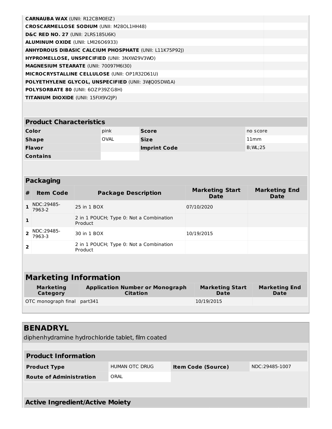| <b>Product Characteristics</b> |      |                     |           |  |  |  |
|--------------------------------|------|---------------------|-----------|--|--|--|
| Color                          | pink | <b>Score</b>        | no score  |  |  |  |
| <b>Shape</b>                   | OVAL | <b>Size</b>         | 11mm      |  |  |  |
| <b>Flavor</b>                  |      | <b>Imprint Code</b> | B; WL; 25 |  |  |  |
| <b>Contains</b>                |      |                     |           |  |  |  |

# **Packaging**

| #              | <b>Item Code</b>     | <b>Package Description</b>                         | <b>Marketing Start</b><br><b>Date</b> | <b>Marketing End</b><br><b>Date</b> |
|----------------|----------------------|----------------------------------------------------|---------------------------------------|-------------------------------------|
|                | NDC:29485-<br>7963-2 | 25 in 1 BOX                                        | 07/10/2020                            |                                     |
| $\mathbf{1}$   |                      | 2 in 1 POUCH; Type 0: Not a Combination<br>Product |                                       |                                     |
|                | NDC:29485-<br>7963-3 | 30 in 1 BOX                                        | 10/19/2015                            |                                     |
| $\overline{2}$ |                      | 2 in 1 POUCH; Type 0: Not a Combination<br>Product |                                       |                                     |
|                |                      |                                                    |                                       |                                     |
|                |                      | Mardialia e Infrancellei                           |                                       |                                     |

#### **Marketing Information**

| <b>Marketing</b>            | <b>Application Number or Monograph</b> | <b>Marketing Start</b> | <b>Marketing End</b> |
|-----------------------------|----------------------------------------|------------------------|----------------------|
| Category                    | <b>Citation</b>                        | Date                   | Date                 |
| OTC monograph final part341 |                                        | 10/19/2015             |                      |

# **BENADRYL**

diphenhydramine hydrochloride tablet, film coated

| <b>Product Information</b>     |                |                           |                |  |
|--------------------------------|----------------|---------------------------|----------------|--|
| <b>Product Type</b>            | HUMAN OTC DRUG | <b>Item Code (Source)</b> | NDC:29485-1007 |  |
| <b>Route of Administration</b> | ORAL           |                           |                |  |
|                                |                |                           |                |  |

**Active Ingredient/Active Moiety**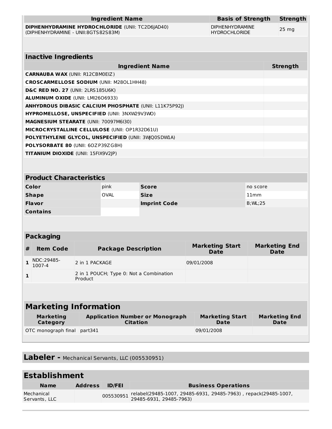|                                                  |                                                    |                                                    | <b>Ingredient Name</b>     |                                                               |                      | <b>Basis of Strength</b>              |                                     | <b>Strength</b>                |
|--------------------------------------------------|----------------------------------------------------|----------------------------------------------------|----------------------------|---------------------------------------------------------------|----------------------|---------------------------------------|-------------------------------------|--------------------------------|
| DIPHENHYDRAMINE HYDROCHLORIDE (UNII: TC2D6JAD40) |                                                    |                                                    |                            | <b>DIPHENHYDRAMINE</b>                                        |                      |                                       |                                     |                                |
| (DIPHENHYDRAMINE - UNII:8GTS82S83M)              |                                                    |                                                    |                            |                                                               | <b>HYDROCHLORIDE</b> |                                       | 25 <sub>mg</sub>                    |                                |
|                                                  |                                                    |                                                    |                            |                                                               |                      |                                       |                                     |                                |
|                                                  |                                                    |                                                    |                            |                                                               |                      |                                       |                                     |                                |
|                                                  | <b>Inactive Ingredients</b>                        |                                                    |                            |                                                               |                      |                                       |                                     |                                |
|                                                  |                                                    |                                                    |                            | <b>Ingredient Name</b>                                        |                      |                                       |                                     | <b>Strength</b>                |
|                                                  | <b>CARNAUBA WAX (UNII: R12CBM0EIZ)</b>             |                                                    |                            |                                                               |                      |                                       |                                     |                                |
|                                                  | <b>CROSCARMELLOSE SODIUM (UNII: M280L1HH48)</b>    |                                                    |                            |                                                               |                      |                                       |                                     |                                |
|                                                  | D&C RED NO. 27 (UNII: 2LRS185U6K)                  |                                                    |                            |                                                               |                      |                                       |                                     |                                |
|                                                  | ALUMINUM OXIDE (UNII: LMI2606933)                  |                                                    |                            |                                                               |                      |                                       |                                     |                                |
|                                                  |                                                    |                                                    |                            | <b>ANHYDROUS DIBASIC CALCIUM PHOSPHATE (UNII: L11K75P92J)</b> |                      |                                       |                                     |                                |
|                                                  | HYPROMELLOSE, UNSPECIFIED (UNII: 3NXW29V3WO)       |                                                    |                            |                                                               |                      |                                       |                                     |                                |
|                                                  | MAGNESIUM STEARATE (UNII: 70097M6I30)              |                                                    |                            |                                                               |                      |                                       |                                     |                                |
|                                                  | MICROCRYSTALLINE CELLULOSE (UNII: OP1R32D61U)      |                                                    |                            |                                                               |                      |                                       |                                     |                                |
|                                                  | POLYETHYLENE GLYCOL, UNSPECIFIED (UNII: 3WQ0SDW1A) |                                                    |                            |                                                               |                      |                                       |                                     |                                |
|                                                  | POLYSORBATE 80 (UNII: 60ZP39ZG8H)                  |                                                    |                            |                                                               |                      |                                       |                                     |                                |
|                                                  | TITANIUM DIOXIDE (UNII: 15FIX9V2JP)                |                                                    |                            |                                                               |                      |                                       |                                     |                                |
|                                                  |                                                    |                                                    |                            |                                                               |                      |                                       |                                     |                                |
|                                                  | <b>Product Characteristics</b>                     |                                                    |                            |                                                               |                      |                                       |                                     |                                |
|                                                  | Color                                              |                                                    | pink                       | Score                                                         | no score             |                                       |                                     |                                |
|                                                  | <b>Shape</b>                                       |                                                    | <b>OVAL</b>                | <b>Size</b>                                                   | 11mm                 |                                       |                                     |                                |
|                                                  | Flavor<br><b>Imprint Code</b>                      |                                                    |                            | $B;$ ML; 25                                                   |                      |                                       |                                     |                                |
|                                                  | <b>Contains</b>                                    |                                                    |                            |                                                               |                      |                                       |                                     |                                |
|                                                  |                                                    |                                                    |                            |                                                               |                      |                                       |                                     |                                |
|                                                  |                                                    |                                                    |                            |                                                               |                      |                                       |                                     |                                |
|                                                  | <b>Packaging</b>                                   |                                                    |                            |                                                               |                      |                                       |                                     |                                |
| #                                                | <b>Item Code</b>                                   | <b>Package Description</b>                         |                            |                                                               |                      | <b>Marketing Start</b><br><b>Date</b> | <b>Marketing End</b><br><b>Date</b> |                                |
| $\mathbf{1}$                                     | NDC:29485-<br>1007-4                               | 2 in 1 PACKAGE                                     |                            |                                                               | 09/01/2008           |                                       |                                     |                                |
| $\mathbf{1}$                                     |                                                    | 2 in 1 POUCH; Type 0: Not a Combination<br>Product |                            |                                                               |                      |                                       |                                     |                                |
|                                                  |                                                    |                                                    |                            |                                                               |                      |                                       |                                     |                                |
| <b>Marketing Information</b>                     |                                                    |                                                    |                            |                                                               |                      |                                       |                                     |                                |
|                                                  | $M \sim \text{ul}/\text{a} + \text{im} \approx$    |                                                    | Annlication Number or Mone |                                                               |                      | Markating Ctart                       |                                     | $M \sim rV \wedge + im \wedge$ |

| Marketing                   | <b>Application Number or Monograph</b> | <b>Marketing Start</b> | <b>Marketing End</b> |
|-----------------------------|----------------------------------------|------------------------|----------------------|
| Category                    | Citation                               | Date                   | Date                 |
| OTC monograph final part341 |                                        | 09/01/2008             |                      |

**Labeler -** Mechanical Servants, LLC (005530951)

| <b>Establishment</b>        |                |               |                                                                           |  |
|-----------------------------|----------------|---------------|---------------------------------------------------------------------------|--|
| <b>Name</b>                 | <b>Address</b> | <b>ID/FEI</b> | <b>Business Operations</b>                                                |  |
| Mechanical<br>Servants, LLC |                |               | 005530951 relabel(29485-1007, 29485-6931, 29485-7963), repack(29485-1007, |  |